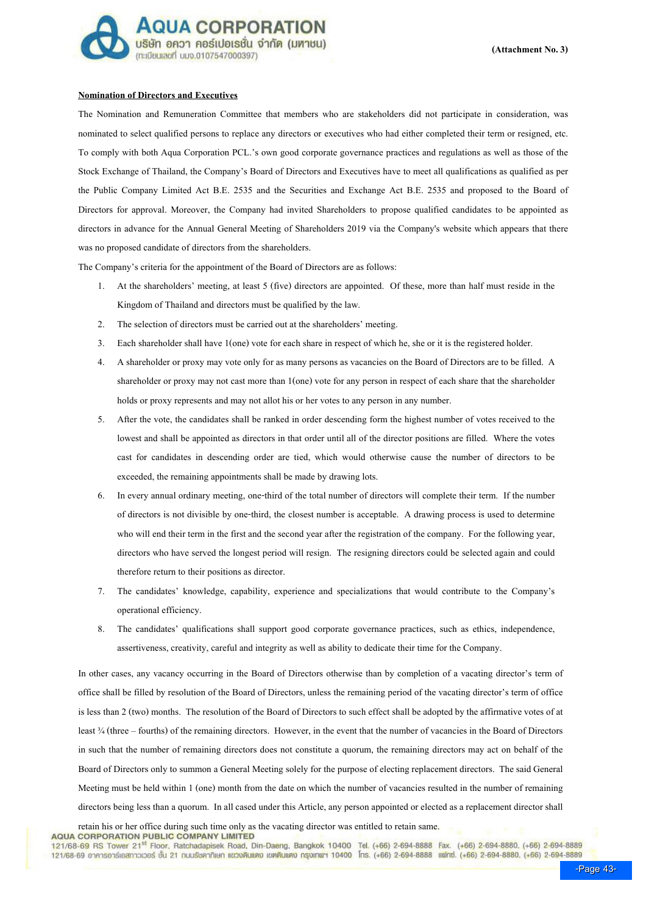

## Nomination of Directors and Executives

The Nomination and Remuneration Committee that members who are stakeholders did not participate in consideration, was nominated to select qualified persons to replace any directors or executives who had either completed their term or resigned, etc. To comply with both Aqua Corporation PCL.#s own good corporate governance practices and regulations as well as those of the Stock Exchange of Thailand, the Company's Board of Directors and Executives have to meet all qualifications as qualified as per the Public Company Limited Act B.E. 2535 and the Securities and Exchange Act B.E. 2535 and proposed to the Board of Directors for approval. Moreover, the Company had invited Shareholders to propose qualified candidates to be appointed as directors in advance for the Annual General Meeting of Shareholders 2019 via the Company's website which appears that there was no proposed candidate of directors from the shareholders.

The Company's criteria for the appointment of the Board of Directors are as follows:

- 1. At the shareholders' meeting, at least 5 (five) directors are appointed. Of these, more than half must reside in the Kingdom of Thailand and directors must be qualified by the law.
- 2. The selection of directors must be carried out at the shareholders' meeting.
- 3. Each shareholder shall have 1(one) vote for each share in respect of which he, she or it is the registered holder.
- 4. A shareholder or proxy may vote only for as many persons as vacancies on the Board of Directors are to be filled. A shareholder or proxy may not cast more than 1(one) vote for any person in respect of each share that the shareholder holds or proxy represents and may not allot his or her votes to any person in any number.
- 5. After the vote, the candidates shall be ranked in order descending form the highest number of votes received to the lowest and shall be appointed as directors in that order until all of the director positions are filled. Where the votes cast for candidates in descending order are tied, which would otherwise cause the number of directors to be exceeded, the remaining appointments shall be made by drawing lots.
- 6. In every annual ordinary meeting, one-third of the total number of directors will complete their term. If the number of directors is not divisible by one-third, the closest number is acceptable. A drawing process is used to determine who will end their term in the first and the second year after the registration of the company. For the following year, directors who have served the longest period will resign. The resigning directors could be selected again and could therefore return to their positions as director.
- 7. The candidates' knowledge, capability, experience and specializations that would contribute to the Company's operational efficiency.
- 8. The candidates' qualifications shall support good corporate governance practices, such as ethics, independence, assertiveness, creativity, careful and integrity as well as ability to dedicate their time for the Company.

In other cases, any vacancy occurring in the Board of Directors otherwise than by completion of a vacating director's term of office shall be filled by resolution of the Board of Directors, unless the remaining period of the vacating director's term of office is less than 2 (two) months. The resolution of the Board of Directors to such effect shall be adopted by the affirmative votes of at least ¼ (three – fourths) of the remaining directors. However, in the event that the number of vacancies in the Board of Directors in such that the number of remaining directors does not constitute a quorum, the remaining directors may act on behalf of the Board of Directors only to summon a General Meeting solely for the purpose of electing replacement directors. The said General Meeting must be held within 1 (one) month from the date on which the number of vacancies resulted in the number of remaining directors being less than a quorum. In all cased under this Article, any person appointed or elected as a replacement director shall

retain his or her office during such time only as the vacating director was entitled to retain same.<br>AQUA CORPORATION PUBLIC COMPANY LIMITED

121/68-69 RS Tower 21<sup>st</sup> Floor, Ratchadapisek Road, Din-Daeng, Bangkok 10400 Tel. (+66) 2-694-8888 Fax. (+66) 2-694-8880, (+66) 2-694-8889 121/68-69 อาคารอาร์เอสทาวเวอร์ ชั้น 21 กนนรัชคาภิเษก แขวงดินแดง เขตดินแดง กรุงเทพฯ 10400 โทร. (+66) 2-694-8888 แฟทซ์. (+66) 2-694-8880, (+66) 2-694-8889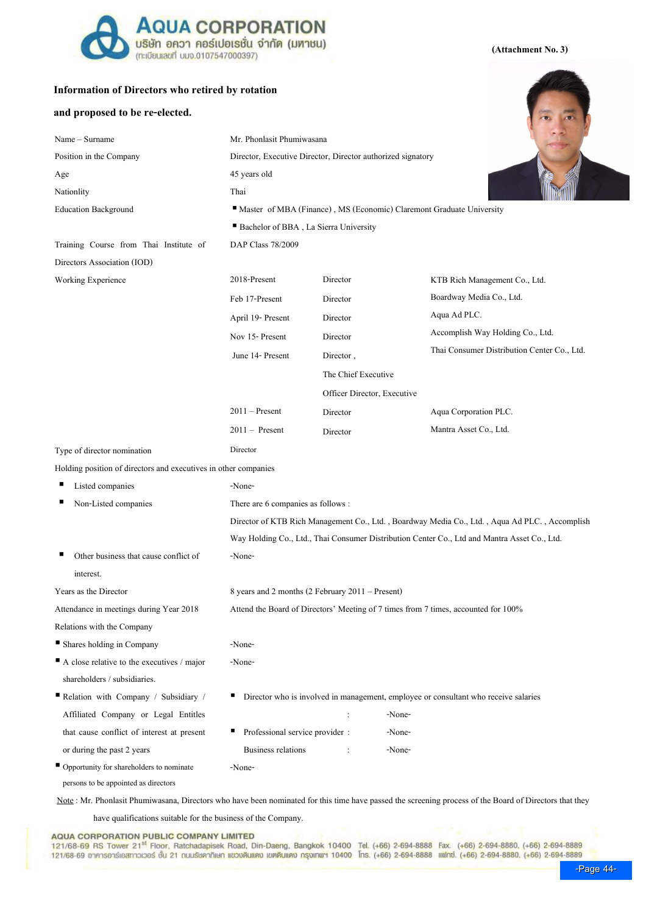

## Information of Directors who retired by rotation

### and proposed to be re-elected.

| Name - Surname                                                  |                                                                                               | Mr. Phonlasit Phumiwasana                                                                    |                                             |  |  |  |
|-----------------------------------------------------------------|-----------------------------------------------------------------------------------------------|----------------------------------------------------------------------------------------------|---------------------------------------------|--|--|--|
| Position in the Company                                         |                                                                                               | Director, Executive Director, Director authorized signatory                                  |                                             |  |  |  |
| Age                                                             | 45 years old                                                                                  |                                                                                              |                                             |  |  |  |
| Nationlity                                                      | Thai                                                                                          |                                                                                              |                                             |  |  |  |
| <b>Education Background</b>                                     | Master of MBA (Finance), MS (Economic) Claremont Graduate University                          |                                                                                              |                                             |  |  |  |
|                                                                 | Bachelor of BBA, La Sierra University                                                         |                                                                                              |                                             |  |  |  |
| Training Course from Thai Institute of                          | DAP Class 78/2009                                                                             |                                                                                              |                                             |  |  |  |
| Directors Association (IOD)                                     |                                                                                               |                                                                                              |                                             |  |  |  |
| Working Experience                                              | 2018-Present                                                                                  | Director                                                                                     | KTB Rich Management Co., Ltd.               |  |  |  |
|                                                                 | Feb 17-Present                                                                                | Director                                                                                     | Boardway Media Co., Ltd.                    |  |  |  |
|                                                                 | April 19- Present                                                                             | Director                                                                                     | Aqua Ad PLC.                                |  |  |  |
|                                                                 | Nov 15- Present                                                                               | Director                                                                                     | Accomplish Way Holding Co., Ltd.            |  |  |  |
|                                                                 | June 14- Present                                                                              | Director,                                                                                    | Thai Consumer Distribution Center Co., Ltd. |  |  |  |
|                                                                 |                                                                                               | The Chief Executive                                                                          |                                             |  |  |  |
|                                                                 |                                                                                               |                                                                                              | Officer Director, Executive                 |  |  |  |
|                                                                 | $2011 -$ Present                                                                              | Director                                                                                     | Aqua Corporation PLC.                       |  |  |  |
|                                                                 | $2011 -$ Present                                                                              | Director                                                                                     | Mantra Asset Co., Ltd.                      |  |  |  |
| Type of director nomination                                     | Director                                                                                      |                                                                                              |                                             |  |  |  |
| Holding position of directors and executives in other companies |                                                                                               |                                                                                              |                                             |  |  |  |
| Listed companies                                                | -None-                                                                                        |                                                                                              |                                             |  |  |  |
| Non-Listed companies                                            | There are 6 companies as follows :                                                            |                                                                                              |                                             |  |  |  |
|                                                                 | Director of KTB Rich Management Co., Ltd., Boardway Media Co., Ltd., Aqua Ad PLC., Accomplish |                                                                                              |                                             |  |  |  |
|                                                                 |                                                                                               | Way Holding Co., Ltd., Thai Consumer Distribution Center Co., Ltd and Mantra Asset Co., Ltd. |                                             |  |  |  |
| Other business that cause conflict of                           | -None-                                                                                        |                                                                                              |                                             |  |  |  |
|                                                                 |                                                                                               |                                                                                              |                                             |  |  |  |

interest.

Years as the Director  $8 \text{ years}$  and 2 months (2 February 2011 – Present)

Attendance in meetings during Year 2018 Attend the Board of Directors' Meeting of 7 times from 7 times, accounted for 100%

Relations with the Company

Shares holding in Company -None-

A close relative to the executives / major shareholders / subsidiaries.

 Relation with Company / Subsidiary / Affiliated Company or Legal Entitles that cause conflict of interest at present or during the past 2 years

-None- Director who is involved in management, employee or consultant who receive salaries : -None- **Professional service provider :** -None-Business relations :  $\blacksquare$  -None-

■ Opportunity for shareholders to nominate persons to be appointed as directors

Note: Mr. Phonlasit Phumiwasana, Directors who have been nominated for this time have passed the screening process of the Board of Directors that they

have qualifications suitable for the business of the Company.

-None-

AQUA CORPORATION PUBLIC COMPANY LIMITED<br>121/68-69 RS Tower 21<sup>st</sup> Floor, Ratchadapisek Road, Din-Daeng, Bangkok 10400 Tel. (+66) 2-694-888 Fax. (+66) 2-694-8880, (+66) 2-694-8889 121/68-69 อาคารอาร์เอสทาวเวอร์ ชั้น 21 กนบรัชคากิเษก แขวงดินแดง เขตดินแดง กรุงเกฒฯ 10400 โทร. (+66) 2-694-8888 แฟกซ์. (+66) 2-694-8880. (+66) 2-694-8889

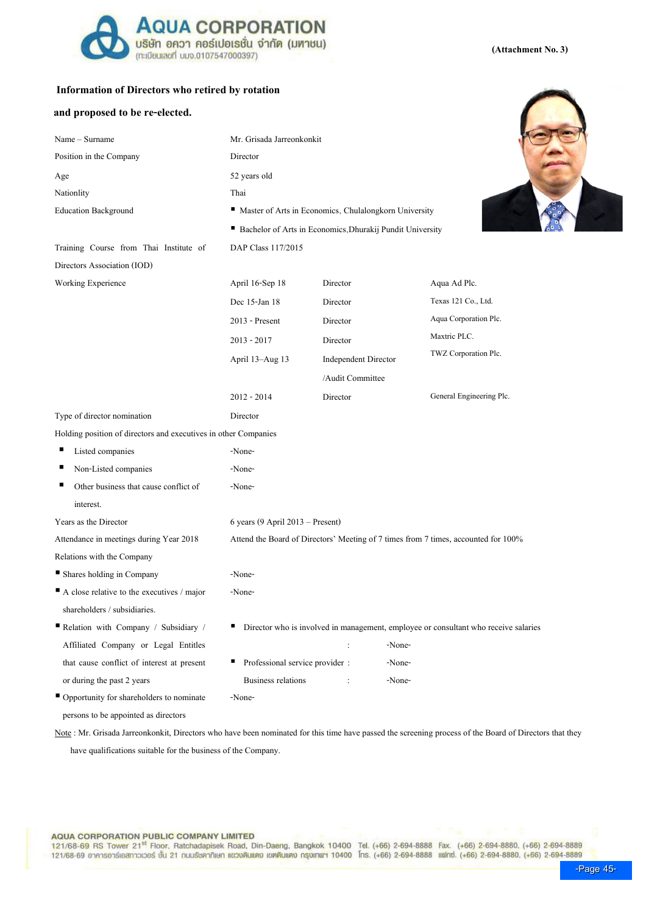

# Information of Directors who retired by rotation

Position in the Company Director Age 52 years old

Name – Surname Mr. Grisada Jarreonkonkit

## and proposed to be re-elected.



(Attachment No. 3)

| Nationlity                                                      | Thai                                                                               |                             |                                                                                     |  |  |  |
|-----------------------------------------------------------------|------------------------------------------------------------------------------------|-----------------------------|-------------------------------------------------------------------------------------|--|--|--|
| <b>Education Background</b>                                     | Master of Arts in Economics, Chulalongkorn University                              |                             |                                                                                     |  |  |  |
|                                                                 | Bachelor of Arts in Economics, Dhurakij Pundit University                          |                             |                                                                                     |  |  |  |
| Training Course from Thai Institute of                          | DAP Class 117/2015                                                                 |                             |                                                                                     |  |  |  |
| Directors Association (IOD)                                     |                                                                                    |                             |                                                                                     |  |  |  |
| Working Experience                                              | April 16-Sep 18                                                                    | Director                    | Aqua Ad Plc.                                                                        |  |  |  |
|                                                                 | Dec 15-Jan 18                                                                      | Director                    | Texas 121 Co., Ltd.                                                                 |  |  |  |
|                                                                 | 2013 - Present                                                                     | Director                    | Aqua Corporation Plc.                                                               |  |  |  |
|                                                                 | $2013 - 2017$                                                                      | Director                    | Maxtric PLC.                                                                        |  |  |  |
|                                                                 | April 13–Aug 13                                                                    | <b>Independent Director</b> | TWZ Corporation Plc.                                                                |  |  |  |
|                                                                 |                                                                                    | /Audit Committee            |                                                                                     |  |  |  |
|                                                                 | $2012 - 2014$                                                                      | Director                    | General Engineering Plc.                                                            |  |  |  |
| Type of director nomination                                     | Director                                                                           |                             |                                                                                     |  |  |  |
| Holding position of directors and executives in other Companies |                                                                                    |                             |                                                                                     |  |  |  |
| п<br>Listed companies                                           | -None-                                                                             |                             |                                                                                     |  |  |  |
| ■<br>Non-Listed companies                                       | -None-                                                                             |                             |                                                                                     |  |  |  |
| Other business that cause conflict of                           | -None-                                                                             |                             |                                                                                     |  |  |  |
| interest.                                                       |                                                                                    |                             |                                                                                     |  |  |  |
| Years as the Director                                           | 6 years (9 April 2013 – Present)                                                   |                             |                                                                                     |  |  |  |
| Attendance in meetings during Year 2018                         | Attend the Board of Directors' Meeting of 7 times from 7 times, accounted for 100% |                             |                                                                                     |  |  |  |
| Relations with the Company                                      |                                                                                    |                             |                                                                                     |  |  |  |
| Shares holding in Company                                       | -None-                                                                             |                             |                                                                                     |  |  |  |
| $\blacksquare$ A close relative to the executives / major       | -None-                                                                             |                             |                                                                                     |  |  |  |
| shareholders / subsidiaries.                                    |                                                                                    |                             |                                                                                     |  |  |  |
| Relation with Company / Subsidiary /                            |                                                                                    |                             | Director who is involved in management, employee or consultant who receive salaries |  |  |  |
| Affiliated Company or Legal Entitles                            |                                                                                    | -None-                      |                                                                                     |  |  |  |
| that cause conflict of interest at present                      | Professional service provider :                                                    | -None-                      |                                                                                     |  |  |  |
| or during the past 2 years                                      | Business relations                                                                 | -None-                      |                                                                                     |  |  |  |
| ■ Opportunity for shareholders to nominate                      | -None-                                                                             |                             |                                                                                     |  |  |  |

persons to be appointed as directors

Note : Mr. Grisada Jarreonkonkit, Directors who have been nominated for this time have passed the screening process of the Board of Directors that they

have qualifications suitable for the business of the Company.

AQUA CORPORATION PUBLIC COMPANY LIMITED<br>121/68-69 RS Tower 21<sup>st</sup> Floor, Ratchadapisek Road, Din-Daeng, Bangkok 10400 Tel. (+66) 2-694-8888 Fax. (+66) 2-694-8887 (+66) 2-694-8889 121/68-69 อาคารอาร์เอสทาวเวอร์ เงิน 21 ณนเรียคากิเษก แขวบดินแดง เขตดินแดง กรุงเทพฯ 10400 โทร. (+66) 2-694-8888 แฟทซ์. (+66) 2-694-8880. (+66) 2-694-8889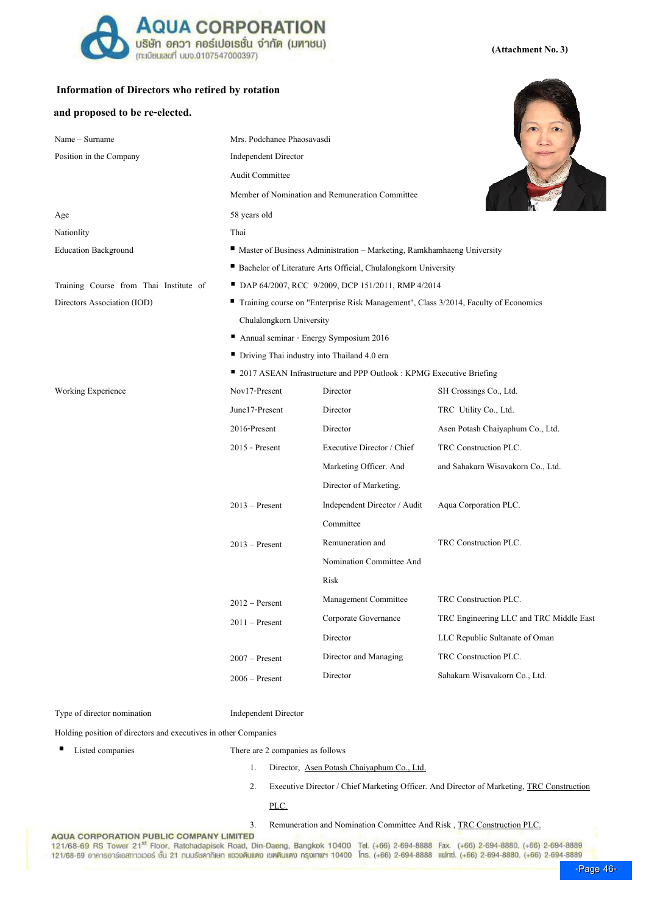

# Information of Directors who retired by rotation

## and proposed to be re-elected.

| Name - Surname                         | Mrs. Podchanee Phaosavasdi                                                            |                                             |                                         |  |  |  |
|----------------------------------------|---------------------------------------------------------------------------------------|---------------------------------------------|-----------------------------------------|--|--|--|
| Position in the Company                | <b>Independent Director</b>                                                           |                                             |                                         |  |  |  |
|                                        | Audit Committee                                                                       |                                             |                                         |  |  |  |
|                                        | Member of Nomination and Remuneration Committee                                       |                                             |                                         |  |  |  |
| Age                                    | 58 years old                                                                          |                                             |                                         |  |  |  |
| Nationlity                             | Thai                                                                                  |                                             |                                         |  |  |  |
| <b>Education Background</b>            | Master of Business Administration - Marketing, Ramkhamhaeng University                |                                             |                                         |  |  |  |
|                                        | Bachelor of Literature Arts Official, Chulalongkorn University                        |                                             |                                         |  |  |  |
| Training Course from Thai Institute of | DAP 64/2007, RCC 9/2009, DCP 151/2011, RMP 4/2014                                     |                                             |                                         |  |  |  |
| Directors Association (IOD)            | " Training course on "Enterprise Risk Management", Class 3/2014, Faculty of Economics |                                             |                                         |  |  |  |
|                                        | Chulalongkorn University                                                              |                                             |                                         |  |  |  |
|                                        | Annual seminar - Energy Symposium 2016                                                |                                             |                                         |  |  |  |
|                                        |                                                                                       | Driving Thai industry into Thailand 4.0 era |                                         |  |  |  |
|                                        | ■ 2017 ASEAN Infrastructure and PPP Outlook : KPMG Executive Briefing                 |                                             |                                         |  |  |  |
| <b>Working Experience</b>              | Nov17-Present                                                                         | Director                                    | SH Crossings Co., Ltd.                  |  |  |  |
|                                        | June17-Present                                                                        | Director                                    | TRC Utility Co., Ltd.                   |  |  |  |
|                                        | 2016-Present                                                                          | Director                                    | Asen Potash Chaiyaphum Co., Ltd.        |  |  |  |
|                                        | 2015 - Present                                                                        | Executive Director / Chief                  | TRC Construction PLC.                   |  |  |  |
|                                        |                                                                                       | Marketing Officer. And                      | and Sahakarn Wisavakorn Co., Ltd.       |  |  |  |
|                                        |                                                                                       | Director of Marketing.                      |                                         |  |  |  |
|                                        | $2013$ – Present                                                                      | Independent Director / Audit                | Aqua Corporation PLC.                   |  |  |  |
|                                        |                                                                                       | Committee                                   |                                         |  |  |  |
|                                        | $2013$ – Present                                                                      | Remuneration and                            | TRC Construction PLC.                   |  |  |  |
|                                        |                                                                                       | Nomination Committee And                    |                                         |  |  |  |
|                                        |                                                                                       | Risk                                        |                                         |  |  |  |
|                                        | $2012$ – Persent                                                                      | Management Committee                        | TRC Construction PLC.                   |  |  |  |
|                                        | $2011 - Present$                                                                      | Corporate Governance                        | TRC Engineering LLC and TRC Middle East |  |  |  |
|                                        |                                                                                       | Director                                    | LLC Republic Sultanate of Oman          |  |  |  |
|                                        | $2007$ – Present                                                                      | Director and Managing                       | TRC Construction PLC.                   |  |  |  |
|                                        | $2006$ – Present                                                                      | Director                                    | Sahakarn Wisavakorn Co., Ltd.           |  |  |  |
|                                        |                                                                                       |                                             |                                         |  |  |  |

Type of director nomination Independent Director

Holding position of directors and executives in other Companies

- 
- Listed companies There are 2 companies as follows
	- 1. Director, Asen Potash Chaiyaphum Co., Ltd.
	- 2. Executive Director / Chief Marketing Officer. And Director of Marketing, TRC Construction

PLC.

3. Remuneration and Nomination Committee And Risk, TRC Construction PLC.<br>121/68-69 RS Tower 21<sup>st</sup> Floor, Ratchadapisek Road, Din-Daeng, Bangkok 10400 Tel. (+66) 2-694-8888 Fax. (+66) 2-694-8880, (+66) 2-694-8889 121/68-69 อาคารอาร์เอสทาวเวอร์ ชั้น 21 กนมรัชคาภิเษก แขวบดินแดง เขตพิมเตง กรุงเทพฯ 10400 โกร. (+66) 2-694-8888 แฟกซ์. (+66) 2-694-8880. (+66) 2-694-8889



### (Attachment No. 3)